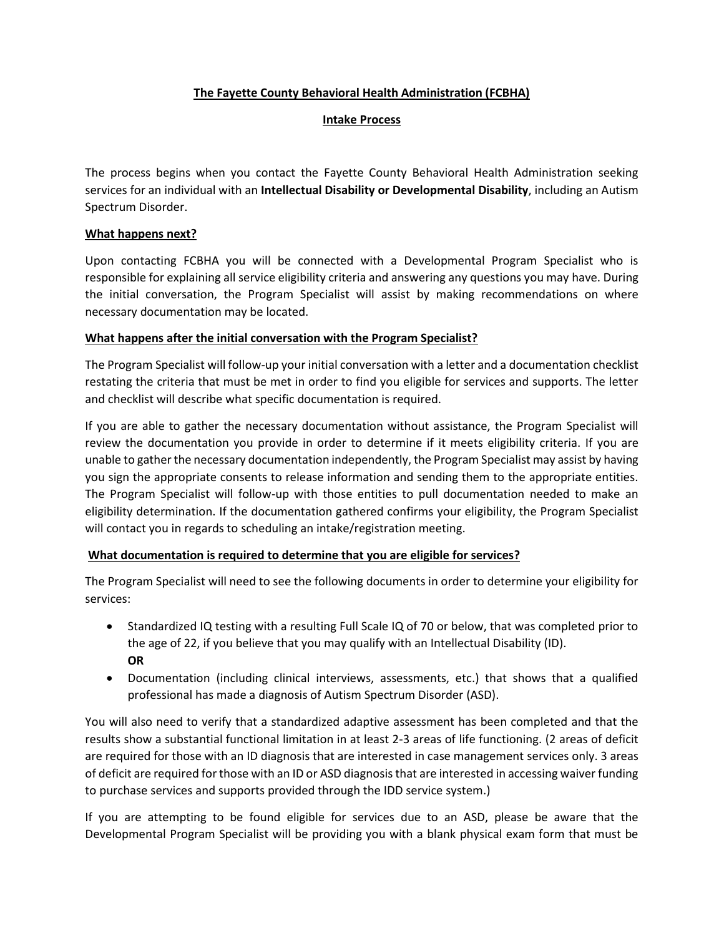### **The Fayette County Behavioral Health Administration (FCBHA)**

#### **Intake Process**

The process begins when you contact the Fayette County Behavioral Health Administration seeking services for an individual with an **Intellectual Disability or Developmental Disability**, including an Autism Spectrum Disorder.

### **What happens next?**

Upon contacting FCBHA you will be connected with a Developmental Program Specialist who is responsible for explaining all service eligibility criteria and answering any questions you may have. During the initial conversation, the Program Specialist will assist by making recommendations on where necessary documentation may be located.

### **What happens after the initial conversation with the Program Specialist?**

The Program Specialist will follow-up your initial conversation with a letter and a documentation checklist restating the criteria that must be met in order to find you eligible for services and supports. The letter and checklist will describe what specific documentation is required.

If you are able to gather the necessary documentation without assistance, the Program Specialist will review the documentation you provide in order to determine if it meets eligibility criteria. If you are unable to gather the necessary documentation independently, the Program Specialist may assist by having you sign the appropriate consents to release information and sending them to the appropriate entities. The Program Specialist will follow-up with those entities to pull documentation needed to make an eligibility determination. If the documentation gathered confirms your eligibility, the Program Specialist will contact you in regards to scheduling an intake/registration meeting.

## **What documentation is required to determine that you are eligible for services?**

The Program Specialist will need to see the following documents in order to determine your eligibility for services:

- Standardized IQ testing with a resulting Full Scale IQ of 70 or below, that was completed prior to the age of 22, if you believe that you may qualify with an Intellectual Disability (ID). **OR**
- Documentation (including clinical interviews, assessments, etc.) that shows that a qualified professional has made a diagnosis of Autism Spectrum Disorder (ASD).

You will also need to verify that a standardized adaptive assessment has been completed and that the results show a substantial functional limitation in at least 2-3 areas of life functioning. (2 areas of deficit are required for those with an ID diagnosis that are interested in case management services only. 3 areas of deficit are required for those with an ID or ASD diagnosis that are interested in accessing waiver funding to purchase services and supports provided through the IDD service system.)

If you are attempting to be found eligible for services due to an ASD, please be aware that the Developmental Program Specialist will be providing you with a blank physical exam form that must be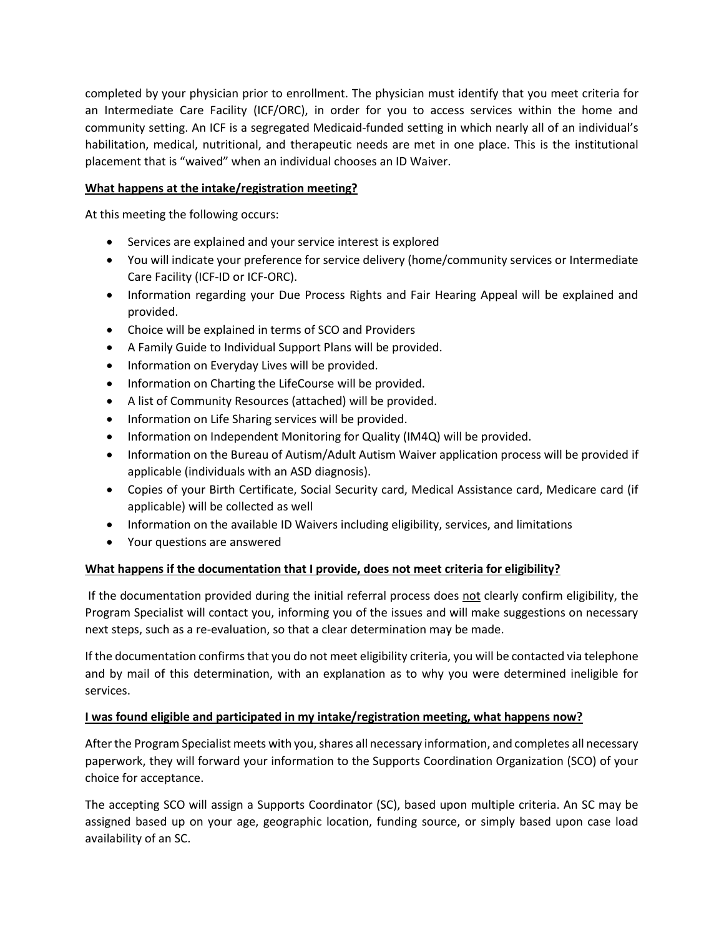completed by your physician prior to enrollment. The physician must identify that you meet criteria for an Intermediate Care Facility (ICF/ORC), in order for you to access services within the home and community setting. An ICF is a segregated Medicaid-funded setting in which nearly all of an individual's habilitation, medical, nutritional, and therapeutic needs are met in one place. This is the institutional placement that is "waived" when an individual chooses an ID Waiver.

# **What happens at the intake/registration meeting?**

At this meeting the following occurs:

- Services are explained and your service interest is explored
- You will indicate your preference for service delivery (home/community services or Intermediate Care Facility (ICF-ID or ICF-ORC).
- Information regarding your Due Process Rights and Fair Hearing Appeal will be explained and provided.
- Choice will be explained in terms of SCO and Providers
- A Family Guide to Individual Support Plans will be provided.
- Information on Everyday Lives will be provided.
- Information on Charting the LifeCourse will be provided.
- A list of Community Resources (attached) will be provided.
- Information on Life Sharing services will be provided.
- Information on Independent Monitoring for Quality (IM4Q) will be provided.
- Information on the Bureau of Autism/Adult Autism Waiver application process will be provided if applicable (individuals with an ASD diagnosis).
- Copies of your Birth Certificate, Social Security card, Medical Assistance card, Medicare card (if applicable) will be collected as well
- Information on the available ID Waivers including eligibility, services, and limitations
- Your questions are answered

## **What happens if the documentation that I provide, does not meet criteria for eligibility?**

If the documentation provided during the initial referral process does not clearly confirm eligibility, the Program Specialist will contact you, informing you of the issues and will make suggestions on necessary next steps, such as a re-evaluation, so that a clear determination may be made.

If the documentation confirms that you do not meet eligibility criteria, you will be contacted via telephone and by mail of this determination, with an explanation as to why you were determined ineligible for services.

## **I was found eligible and participated in my intake/registration meeting, what happens now?**

After the Program Specialist meets with you, shares all necessary information, and completes all necessary paperwork, they will forward your information to the Supports Coordination Organization (SCO) of your choice for acceptance.

The accepting SCO will assign a Supports Coordinator (SC), based upon multiple criteria. An SC may be assigned based up on your age, geographic location, funding source, or simply based upon case load availability of an SC.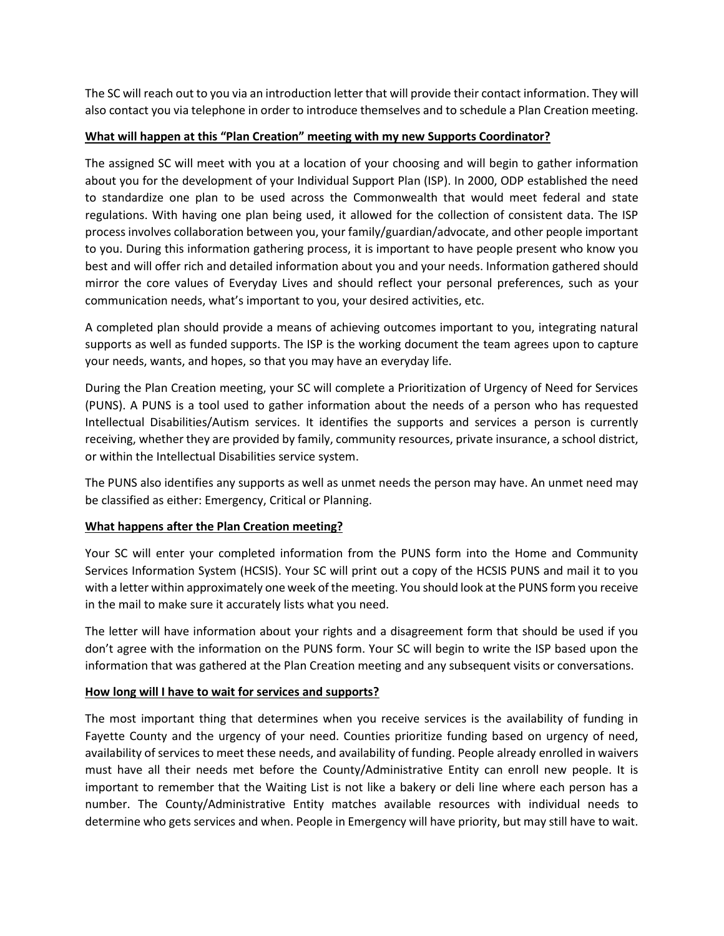The SC will reach out to you via an introduction letter that will provide their contact information. They will also contact you via telephone in order to introduce themselves and to schedule a Plan Creation meeting.

### **What will happen at this "Plan Creation" meeting with my new Supports Coordinator?**

The assigned SC will meet with you at a location of your choosing and will begin to gather information about you for the development of your Individual Support Plan (ISP). In 2000, ODP established the need to standardize one plan to be used across the Commonwealth that would meet federal and state regulations. With having one plan being used, it allowed for the collection of consistent data. The ISP process involves collaboration between you, your family/guardian/advocate, and other people important to you. During this information gathering process, it is important to have people present who know you best and will offer rich and detailed information about you and your needs. Information gathered should mirror the core values of Everyday Lives and should reflect your personal preferences, such as your communication needs, what's important to you, your desired activities, etc.

A completed plan should provide a means of achieving outcomes important to you, integrating natural supports as well as funded supports. The ISP is the working document the team agrees upon to capture your needs, wants, and hopes, so that you may have an everyday life.

During the Plan Creation meeting, your SC will complete a Prioritization of Urgency of Need for Services (PUNS). A PUNS is a tool used to gather information about the needs of a person who has requested Intellectual Disabilities/Autism services. It identifies the supports and services a person is currently receiving, whether they are provided by family, community resources, private insurance, a school district, or within the Intellectual Disabilities service system.

The PUNS also identifies any supports as well as unmet needs the person may have. An unmet need may be classified as either: Emergency, Critical or Planning.

## **What happens after the Plan Creation meeting?**

Your SC will enter your completed information from the PUNS form into the Home and Community Services Information System (HCSIS). Your SC will print out a copy of the HCSIS PUNS and mail it to you with a letter within approximately one week of the meeting. You should look at the PUNS form you receive in the mail to make sure it accurately lists what you need.

The letter will have information about your rights and a disagreement form that should be used if you don't agree with the information on the PUNS form. Your SC will begin to write the ISP based upon the information that was gathered at the Plan Creation meeting and any subsequent visits or conversations.

#### **How long will I have to wait for services and supports?**

The most important thing that determines when you receive services is the availability of funding in Fayette County and the urgency of your need. Counties prioritize funding based on urgency of need, availability of services to meet these needs, and availability of funding. People already enrolled in waivers must have all their needs met before the County/Administrative Entity can enroll new people. It is important to remember that the Waiting List is not like a bakery or deli line where each person has a number. The County/Administrative Entity matches available resources with individual needs to determine who gets services and when. People in Emergency will have priority, but may still have to wait.